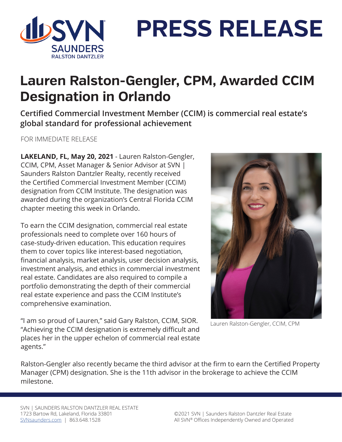

**PRESS RELEASE**

## **Lauren Ralston-Gengler, CPM, Awarded CCIM Designation in Orlando**

**Certified Commercial Investment Member (CCIM) is commercial real estate's global standard for professional achievement**

FOR IMMEDIATE RELEASE

**LAKELAND, FL, May 20, 2021** - Lauren Ralston-Gengler, CCIM, CPM, Asset Manager & Senior Advisor at SVN | Saunders Ralston Dantzler Realty, recently received the Certified Commercial Investment Member (CCIM) designation from CCIM Institute. The designation was awarded during the organization's Central Florida CCIM chapter meeting this week in Orlando.

To earn the CCIM designation, commercial real estate professionals need to complete over 160 hours of case-study-driven education. This education requires them to cover topics like interest-based negotiation, financial analysis, market analysis, user decision analysis, investment analysis, and ethics in commercial investment real estate. Candidates are also required to compile a portfolio demonstrating the depth of their commercial real estate experience and pass the CCIM Institute's comprehensive examination.



"I am so proud of Lauren," said Gary Ralston, CCIM, SIOR. "Achieving the CCIM designation is extremely difficult and places her in the upper echelon of commercial real estate agents."

Lauren Ralston-Gengler, CCIM, CPM

Ralston-Gengler also recently became the third advisor at the firm to earn the Certified Property Manager (CPM) designation. She is the 11th advisor in the brokerage to achieve the CCIM milestone.